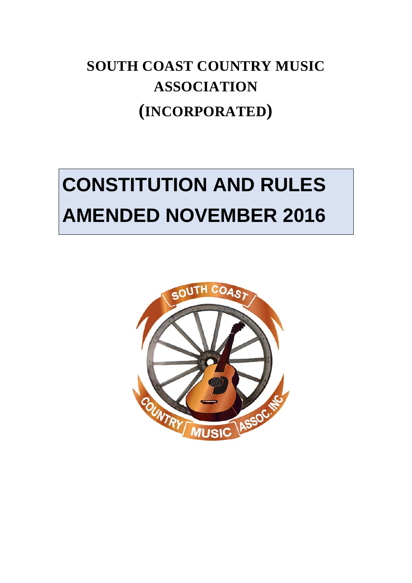## **SOUTH COAST COUNTRY MUSIC ASSOCIATION (INCORPORATED)**

# **CONSTITUTION AND RULES AMENDED NOVEMBER 2016**

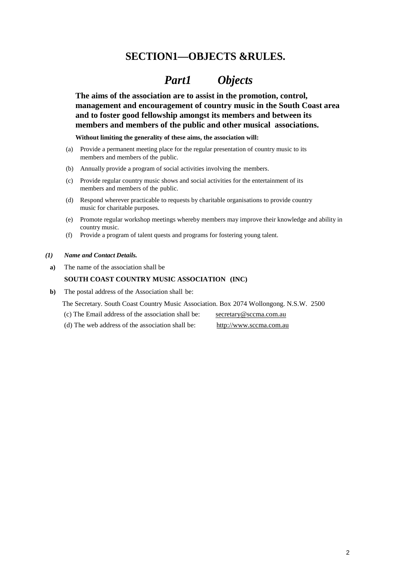## <span id="page-1-0"></span> **SECTION1—OBJECTS &RULES.**

## *Part1 Objects*

<span id="page-1-1"></span>**The aims of the association are to assist in the promotion, control, management and encouragement of country music in the South Coast area and to foster good fellowship amongst its members and between its members and members of the public and other musical associations.**

**Without limiting the generality of these aims, the association will:**

- (a) Provide a permanent meeting place for the regular presentation of country music to its members and members of the public.
- (b) Annually provide a program of social activities involving the members.
- (c) Provide regular country music shows and social activities for the entertainment of its members and members of the public.
- (d) Respond wherever practicable to requests by charitable organisations to provide country music for charitable purposes.
- (e) Promote regular workshop meetings whereby members may improve their knowledge and ability in country music.
- (f) Provide a program of talent quests and programs for fostering young talent.
- <span id="page-1-3"></span><span id="page-1-2"></span>*(1) Name and Contact Details.*
	- **a)** The name of the association shall be

#### <span id="page-1-4"></span>**SOUTH COAST COUNTRY MUSIC ASSOCIATION (INC)**

- **b)** The postal address of the Association shall be:
	- The Secretary. South Coast Country Music Association. Box 2074 Wollongong. N.S.W. 2500
	- (c) The Email address of the association shall be: [secretary@sccma.com.au](mailto:secretary@sccma.com.au)
	- (d) The web address of the association shall be: [http://www.sccma.com.au](http://www.sccma.com.au/)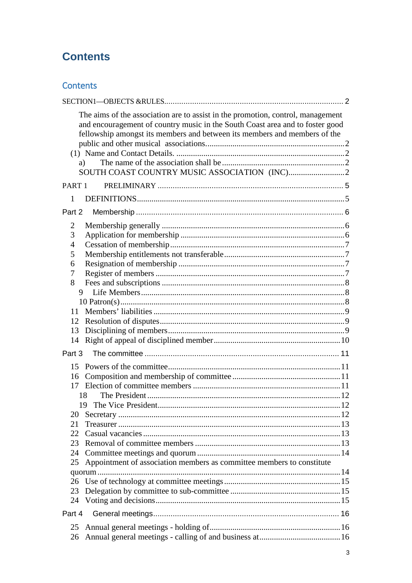## **Contents**

## Contents

| The aims of the association are to assist in the promotion, control, management<br>and encouragement of country music in the South Coast area and to foster good<br>fellowship amongst its members and between its members and members of the<br>a) |  |
|-----------------------------------------------------------------------------------------------------------------------------------------------------------------------------------------------------------------------------------------------------|--|
| PART <sub>1</sub>                                                                                                                                                                                                                                   |  |
| 1                                                                                                                                                                                                                                                   |  |
| Part 2                                                                                                                                                                                                                                              |  |
| 2                                                                                                                                                                                                                                                   |  |
| 3                                                                                                                                                                                                                                                   |  |
| $\overline{4}$                                                                                                                                                                                                                                      |  |
| 5                                                                                                                                                                                                                                                   |  |
| 6                                                                                                                                                                                                                                                   |  |
| 7                                                                                                                                                                                                                                                   |  |
| 8                                                                                                                                                                                                                                                   |  |
| 9                                                                                                                                                                                                                                                   |  |
|                                                                                                                                                                                                                                                     |  |
| 12                                                                                                                                                                                                                                                  |  |
| 13                                                                                                                                                                                                                                                  |  |
| 14                                                                                                                                                                                                                                                  |  |
| Part 3                                                                                                                                                                                                                                              |  |
|                                                                                                                                                                                                                                                     |  |
| 16                                                                                                                                                                                                                                                  |  |
|                                                                                                                                                                                                                                                     |  |
| 18                                                                                                                                                                                                                                                  |  |
|                                                                                                                                                                                                                                                     |  |
| 20                                                                                                                                                                                                                                                  |  |
| 21                                                                                                                                                                                                                                                  |  |
| 22                                                                                                                                                                                                                                                  |  |
| 23                                                                                                                                                                                                                                                  |  |
| 24                                                                                                                                                                                                                                                  |  |
| Appointment of association members as committee members to constitute<br>25                                                                                                                                                                         |  |
|                                                                                                                                                                                                                                                     |  |
| 26<br>23                                                                                                                                                                                                                                            |  |
| 24                                                                                                                                                                                                                                                  |  |
|                                                                                                                                                                                                                                                     |  |
| Part 4                                                                                                                                                                                                                                              |  |
| 25                                                                                                                                                                                                                                                  |  |
| 26                                                                                                                                                                                                                                                  |  |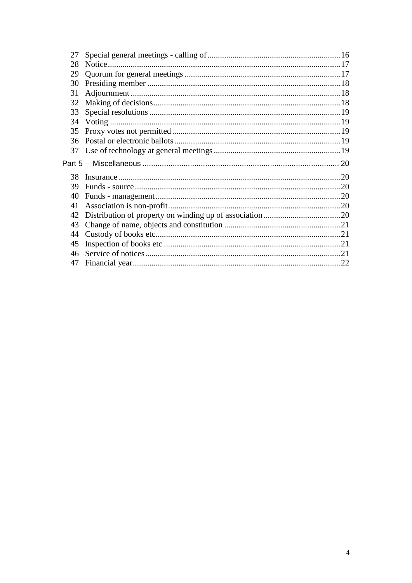| 27     |         |  |
|--------|---------|--|
| 28     | Notice. |  |
| 29     |         |  |
| 30     |         |  |
| 31     |         |  |
| 32     |         |  |
| 33     |         |  |
| 34     |         |  |
| 35     |         |  |
| 36     |         |  |
| 37     |         |  |
|        |         |  |
| Part 5 |         |  |
| 38     |         |  |
| 39     |         |  |
| 40     |         |  |
| 41     |         |  |
| 42     |         |  |
| 43     |         |  |
| 44     |         |  |
| 45     |         |  |
| 46     |         |  |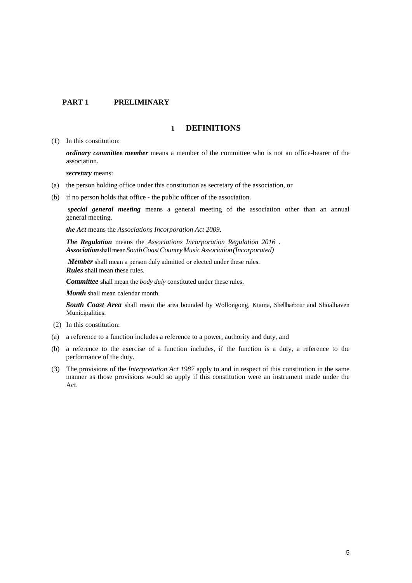#### <span id="page-4-0"></span>**PART 1 PRELIMINARY**

#### **1 DEFINITIONS**

<span id="page-4-1"></span>(1) In this constitution:

*ordinary committee member* means a member of the committee who is not an office-bearer of the association.

*secretary* means:

- (a) the person holding office under this constitution as secretary of the association, or
- (b) if no person holds that office the public officer of the association.

*special general meeting* means a general meeting of the association other than an annual general meeting.

*the Act* means the *[Associations Incorporation Act 2009](http://www.legislation.nsw.gov.au/xref/inforce/?xref=Type%3Dact%20AND%20Year%3D2009%20AND%20no%3D7&nohits=y)*.

*The Regulation* means the *[Associations Incorporation Regulation 2016](http://www.legislation.nsw.gov.au/xref/inforce/?xref=Type%3Dsubordleg%20AND%20Year%3D2010%20AND%20No%3D238&nohits=y) . Association*shall mean*SouthCoastCountryMusicAssociation(Incorporated)*

*Member* shall mean a person duly admitted or elected under these rules. *Rules* shall mean these rules.

*Committee* shall mean the *body duly* constituted under these rules.

*Month* shall mean calendar month.

*South Coast Area* shall mean the area bounded by Wollongong, Kiama, Shellharbour and Shoalhaven Municipalities.

- (2) In this constitution:
- (a) a reference to a function includes a reference to a power, authority and duty, and
- (b) a reference to the exercise of a function includes, if the function is a duty, a reference to the performance of the duty.
- (3) The provisions of the *[Interpretation Act 1987](http://www.legislation.nsw.gov.au/xref/inforce/?xref=Type%3Dact%20AND%20Year%3D1987%20AND%20no%3D15&nohits=y)* apply to and in respect of this constitution in the same manner as those provisions would so apply if this constitution were an instrument made under the Act.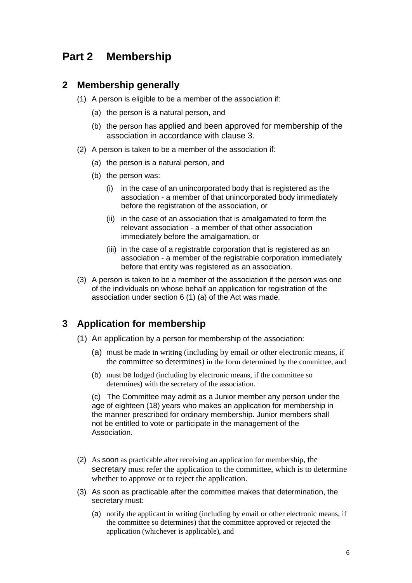## <span id="page-5-0"></span>**Part 2 Membership**

#### <span id="page-5-1"></span>**2 Membership generally**

- (1) A person is eligible to be a member of the association if:
	- (a) the person is a natural person, and
	- (b) the person has applied and been approved for membership of the association in accordance with clause 3.
- (2) A person is taken to be a member of the association if:
	- (a) the person is a natural person, and
	- (b) the person was:
		- (i) in the case of an unincorporated body that is registered as the association - a member of that unincorporated body immediately before the registration of the association, or
		- (ii) in the case of an association that is amalgamated to form the relevant association - a member of that other association immediately before the amalgamation, or
		- (iii) in the case of a registrable corporation that is registered as an association - a member of the registrable corporation immediately before that entity was registered as an association.
- (3) A person is taken to be a member of the association if the person was one of the individuals on whose behalf an application for registration of the association under section 6 (1) (a) of the Act was made.

#### <span id="page-5-2"></span>**3 Application for membership**

- (1) An application by a person for membership of the association:
	- (a) must be made in writing (including by email or other electronic means, if the committee so determines) in the form determined by the committee, and
	- (b) must be lodged (including by electronic means, if the committee so determines) with the secretary of the association.

(c) The Committee may admit as a Junior member any person under the age of eighteen (18) years who makes an application for membership in the manner prescribed for ordinary membership. Junior members shall not be entitled to vote or participate in the management of the **Association** 

- (2) As soon as practicable after receiving an application for membership, the secretary must refer the application to the committee, which is to determine whether to approve or to reject the application.
- (3) As soon as practicable after the committee makes that determination, the secretary must:
	- (a) notify the applicant in writing (including by email or other electronic means, if the committee so determines) that the committee approved or rejected the application (whichever is applicable), and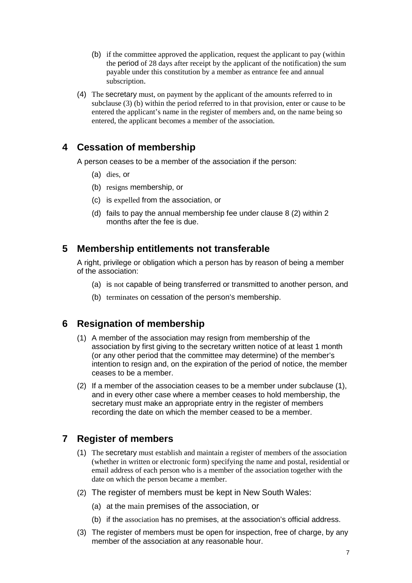- (b) if the committee approved the application, request the applicant to pay (within the period of 28 days after receipt by the applicant of the notification) the sum payable under this constitution by a member as entrance fee and annual subscription.
- (4) The secretary must, on payment by the applicant of the amounts referred to in subclause (3) (b) within the period referred to in that provision, enter or cause to be entered the applicant's name in the register of members and, on the name being so entered, the applicant becomes a member of the association.

## <span id="page-6-0"></span>**4 Cessation of membership**

A person ceases to be a member of the association if the person:

- (a) dies, or
- (b) resigns membership, or
- (c) is expelled from the association, or
- (d) fails to pay the annual membership fee under clause 8 (2) within 2 months after the fee is due.

#### <span id="page-6-1"></span>**5 Membership entitlements not transferable**

A right, privilege or obligation which a person has by reason of being a member of the association:

- (a) is not capable of being transferred or transmitted to another person, and
- (b) terminates on cessation of the person's membership.

## <span id="page-6-2"></span>**6 Resignation of membership**

- (1) A member of the association may resign from membership of the association by first giving to the secretary written notice of at least 1 month (or any other period that the committee may determine) of the member's intention to resign and, on the expiration of the period of notice, the member ceases to be a member.
- (2) If a member of the association ceases to be a member under subclause (1), and in every other case where a member ceases to hold membership, the secretary must make an appropriate entry in the register of members recording the date on which the member ceased to be a member.

## <span id="page-6-3"></span>**7 Register of members**

- (1) The secretary must establish and maintain a register of members of the association (whether in written or electronic form) specifying the name and postal, residential or email address of each person who is a member of the association together with the date on which the person became a member.
- (2) The register of members must be kept in New South Wales:
	- (a) at the main premises of the association, or
	- (b) if the association has no premises, at the association's official address.
- (3) The register of members must be open for inspection, free of charge, by any member of the association at any reasonable hour.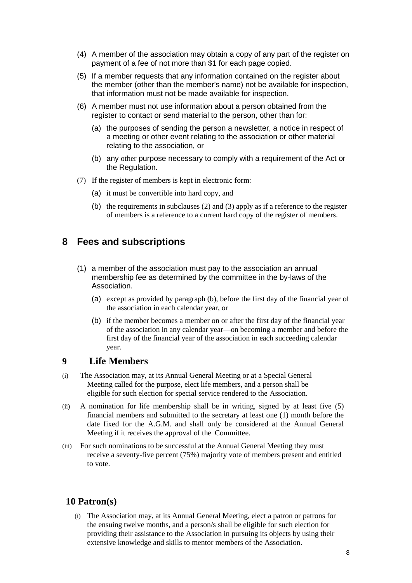- (4) A member of the association may obtain a copy of any part of the register on payment of a fee of not more than \$1 for each page copied.
- (5) If a member requests that any information contained on the register about the member (other than the member's name) not be available for inspection, that information must not be made available for inspection.
- (6) A member must not use information about a person obtained from the register to contact or send material to the person, other than for:
	- (a) the purposes of sending the person a newsletter, a notice in respect of a meeting or other event relating to the association or other material relating to the association, or
	- (b) any other purpose necessary to comply with a requirement of the Act or the Regulation.
- (7) If the register of members is kept in electronic form:
	- (a) it must be convertible into hard copy, and
	- (b) the requirements in subclauses (2) and (3) apply as if a reference to the register of members is a reference to a current hard copy of the register of members.

#### <span id="page-7-0"></span>**8 Fees and subscriptions**

- (1) a member of the association must pay to the association an annual membership fee as determined by the committee in the by-laws of the Association.
	- (a) except as provided by paragraph (b), before the first day of the financial year of the association in each calendar year, or
	- (b) if the member becomes a member on or after the first day of the financial year of the association in any calendar year—on becoming a member and before the first day of the financial year of the association in each succeeding calendar year.

#### <span id="page-7-1"></span>**9 Life Members**

- (i) The Association may, at its Annual General Meeting or at a Special General Meeting called for the purpose, elect life members, and a person shall be eligible for such election for special service rendered to the Association.
- (ii) A nomination for life membership shall be in writing, signed by at least five (5) financial members and submitted to the secretary at least one (1) month before the date fixed for the A.G.M. and shall only be considered at the Annual General Meeting if it receives the approval of the Committee.
- (iii) For such nominations to be successful at the Annual General Meeting they must receive a seventy-five percent (75%) majority vote of members present and entitled to vote.

#### <span id="page-7-2"></span>**10 Patron(s)**

(i) The Association may, at its Annual General Meeting, elect a patron or patrons for the ensuing twelve months, and a person/s shall be eligible for such election for providing their assistance to the Association in pursuing its objects by using their extensive knowledge and skills to mentor members of the Association.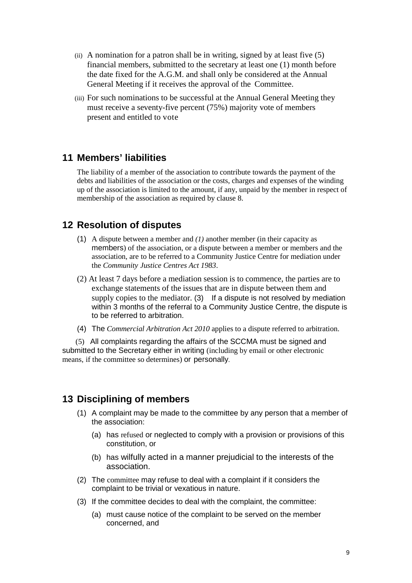- (ii) A nomination for a patron shall be in writing, signed by at least five (5) financial members, submitted to the secretary at least one (1) month before the date fixed for the A.G.M. and shall only be considered at the Annual General Meeting if it receives the approval of the Committee.
- (iii) For such nominations to be successful at the Annual General Meeting they must receive a seventy-five percent (75%) majority vote of members present and entitled to vote

#### <span id="page-8-0"></span>**11 Members' liabilities**

The liability of a member of the association to contribute towards the payment of the debts and liabilities of the association or the costs, charges and expenses of the winding up of the association is limited to the amount, if any, unpaid by the member in respect of membership of the association as required by clause 8.

#### <span id="page-8-1"></span>**12 Resolution of disputes**

- (1) A dispute between a member and *(1)* another member (in their capacity as members) of the association, or a dispute between a member or members and the association, are to be referred to a Community Justice Centre for mediation under the *Community Justice Centres Act 1983*.
- (2) At least 7 days before a mediation session is to commence, the parties are to exchange statements of the issues that are in dispute between them and supply copies to the mediator. (3) If a dispute is not resolved by mediation within 3 months of the referral to a Community Justice Centre, the dispute is to be referred to arbitration.
- (4) The *Commercial Arbitration Act 2010* applies to a dispute referred to arbitration.

 (5) All complaints regarding the affairs of the SCCMA must be signed and submitted to the Secretary either in writing (including by email or other electronic means, if the committee so determines) or personally.

#### <span id="page-8-2"></span>**13 Disciplining of members**

- (1) A complaint may be made to the committee by any person that a member of the association:
	- (a) has refused or neglected to comply with a provision or provisions of this constitution, or
	- (b) has wilfully acted in a manner prejudicial to the interests of the association.
- (2) The committee may refuse to deal with a complaint if it considers the complaint to be trivial or vexatious in nature.
- (3) If the committee decides to deal with the complaint, the committee:
	- (a) must cause notice of the complaint to be served on the member concerned, and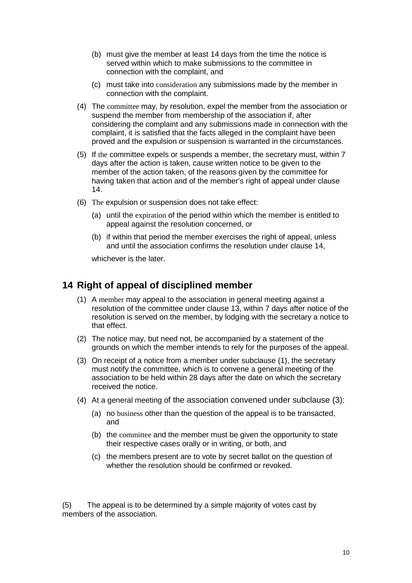- (b) must give the member at least 14 days from the time the notice is served within which to make submissions to the committee in connection with the complaint, and
- (c) must take into consideration any submissions made by the member in connection with the complaint.
- (4) The committee may, by resolution, expel the member from the association or suspend the member from membership of the association if, after considering the complaint and any submissions made in connection with the complaint, it is satisfied that the facts alleged in the complaint have been proved and the expulsion or suspension is warranted in the circumstances.
- (5) If the committee expels or suspends a member, the secretary must, within 7 days after the action is taken, cause written notice to be given to the member of the action taken, of the reasons given by the committee for having taken that action and of the member's right of appeal under clause 14.
- (6) The expulsion or suspension does not take effect:
	- (a) until the expiration of the period within which the member is entitled to appeal against the resolution concerned, or
	- (b) if within that period the member exercises the right of appeal, unless and until the association confirms the resolution under clause 14,

whichever is the later.

#### <span id="page-9-0"></span>**14 Right of appeal of disciplined member**

- (1) A member may appeal to the association in general meeting against a resolution of the committee under clause 13, within 7 days after notice of the resolution is served on the member, by lodging with the secretary a notice to that effect.
- (2) The notice may, but need not, be accompanied by a statement of the grounds on which the member intends to rely for the purposes of the appeal.
- (3) On receipt of a notice from a member under subclause (1), the secretary must notify the committee, which is to convene a general meeting of the association to be held within 28 days after the date on which the secretary received the notice.
- (4) At a general meeting of the association convened under subclause (3):
	- (a) no business other than the question of the appeal is to be transacted, and
	- (b) the committee and the member must be given the opportunity to state their respective cases orally or in writing, or both, and
	- (c) the members present are to vote by secret ballot on the question of whether the resolution should be confirmed or revoked.

(5) The appeal is to be determined by a simple majority of votes cast by members of the association.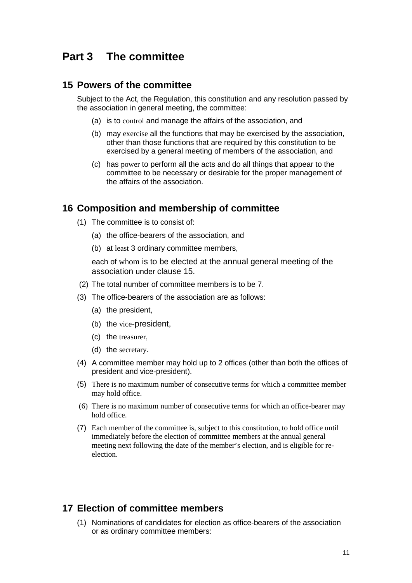## <span id="page-10-0"></span>**Part 3 The committee**

#### <span id="page-10-1"></span>**15 Powers of the committee**

Subject to the Act, the Regulation, this constitution and any resolution passed by the association in general meeting, the committee:

- (a) is to control and manage the affairs of the association, and
- (b) may exercise all the functions that may be exercised by the association, other than those functions that are required by this constitution to be exercised by a general meeting of members of the association, and
- (c) has power to perform all the acts and do all things that appear to the committee to be necessary or desirable for the proper management of the affairs of the association.

#### <span id="page-10-2"></span>**16 Composition and membership of committee**

- (1) The committee is to consist of:
	- (a) the office-bearers of the association, and
	- (b) at least 3 ordinary committee members,

each of whom is to be elected at the annual general meeting of the association under clause 15.

- (2) The total number of committee members is to be 7.
- (3) The office-bearers of the association are as follows:
	- (a) the president,
	- (b) the vice-president,
	- (c) the treasurer,
	- (d) the secretary.
- (4) A committee member may hold up to 2 offices (other than both the offices of president and vice-president).
- (5) There is no maximum number of consecutive terms for which a committee member may hold office.
- (6) There is no maximum number of consecutive terms for which an office-bearer may hold office.
- (7) Each member of the committee is, subject to this constitution, to hold office until immediately before the election of committee members at the annual general meeting next following the date of the member's election, and is eligible for reelection.

#### <span id="page-10-3"></span>**17 Election of committee members**

(1) Nominations of candidates for election as office-bearers of the association or as ordinary committee members: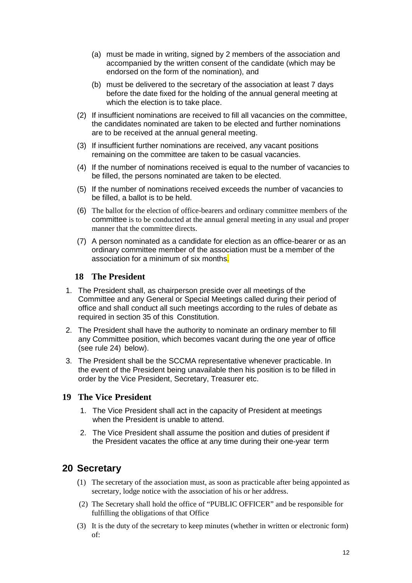- (a) must be made in writing, signed by 2 members of the association and accompanied by the written consent of the candidate (which may be endorsed on the form of the nomination), and
- (b) must be delivered to the secretary of the association at least 7 days before the date fixed for the holding of the annual general meeting at which the election is to take place.
- (2) If insufficient nominations are received to fill all vacancies on the committee, the candidates nominated are taken to be elected and further nominations are to be received at the annual general meeting.
- (3) If insufficient further nominations are received, any vacant positions remaining on the committee are taken to be casual vacancies.
- (4) If the number of nominations received is equal to the number of vacancies to be filled, the persons nominated are taken to be elected.
- (5) If the number of nominations received exceeds the number of vacancies to be filled, a ballot is to be held.
- (6) The ballot for the election of office-bearers and ordinary committee members of the committee is to be conducted at the annual general meeting in any usual and proper manner that the committee directs.
- (7) A person nominated as a candidate for election as an office-bearer or as an ordinary committee member of the association must be a member of the association for a minimum of six months.

#### <span id="page-11-0"></span>**18 The President**

- 1. The President shall, as chairperson preside over all meetings of the Committee and any General or Special Meetings called during their period of office and shall conduct all such meetings according to the rules of debate as required in section 35 of this Constitution.
- 2. The President shall have the authority to nominate an ordinary member to fill any Committee position, which becomes vacant during the one year of office (see rule 24) below).
- 3. The President shall be the SCCMA representative whenever practicable. In the event of the President being unavailable then his position is to be filled in order by the Vice President, Secretary, Treasurer etc.

#### <span id="page-11-1"></span>**19 The Vice President**

- 1. The Vice President shall act in the capacity of President at meetings when the President is unable to attend.
- 2. The Vice President shall assume the position and duties of president if the President vacates the office at any time during their one-year term

#### <span id="page-11-2"></span>**20 Secretary**

- (1) The secretary of the association must, as soon as practicable after being appointed as secretary, lodge notice with the association of his or her address.
- (2) The Secretary shall hold the office of "PUBLIC OFFICER" and be responsible for fulfilling the obligations of that Office
- (3) It is the duty of the secretary to keep minutes (whether in written or electronic form) of: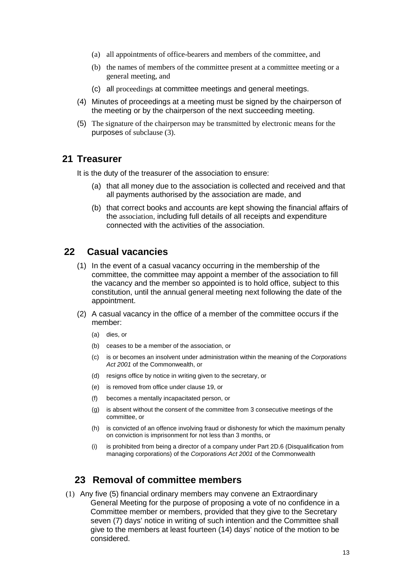- (a) all appointments of office-bearers and members of the committee, and
- (b) the names of members of the committee present at a committee meeting or a general meeting, and
- (c) all proceedings at committee meetings and general meetings.
- (4) Minutes of proceedings at a meeting must be signed by the chairperson of the meeting or by the chairperson of the next succeeding meeting.
- (5) The signature of the chairperson may be transmitted by electronic means for the purposes of subclause (3).

#### <span id="page-12-0"></span>**21 Treasurer**

It is the duty of the treasurer of the association to ensure:

- (a) that all money due to the association is collected and received and that all payments authorised by the association are made, and
- (b) that correct books and accounts are kept showing the financial affairs of the association, including full details of all receipts and expenditure connected with the activities of the association.

#### <span id="page-12-1"></span>**22 Casual vacancies**

- (1) In the event of a casual vacancy occurring in the membership of the committee, the committee may appoint a member of the association to fill the vacancy and the member so appointed is to hold office, subject to this constitution, until the annual general meeting next following the date of the appointment.
- (2) A casual vacancy in the office of a member of the committee occurs if the member:
	- (a) dies, or
	- (b) ceases to be a member of the association, or
	- (c) is or becomes an insolvent under administration within the meaning of the *[Corporations](http://www.comlaw.gov.au/)  [Act 2001](http://www.comlaw.gov.au/)* of the Commonwealth, or
	- (d) resigns office by notice in writing given to the secretary, or
	- (e) is removed from office under clause 19, or
	- (f) becomes a mentally incapacitated person, or
	- (g) is absent without the consent of the committee from 3 consecutive meetings of the committee, or
	- (h) is convicted of an offence involving fraud or dishonesty for which the maximum penalty on conviction is imprisonment for not less than 3 months, or
	- (i) is prohibited from being a director of a company under Part 2D.6 (Disqualification from managing corporations) of the *[Corporations Act 2001](http://www.comlaw.gov.au/)* of the Commonwealth

#### <span id="page-12-2"></span>**23 Removal of committee members**

(1) Any five (5) financial ordinary members may convene an Extraordinary General Meeting for the purpose of proposing a vote of no confidence in a Committee member or members, provided that they give to the Secretary seven (7) days' notice in writing of such intention and the Committee shall give to the members at least fourteen (14) days' notice of the motion to be considered.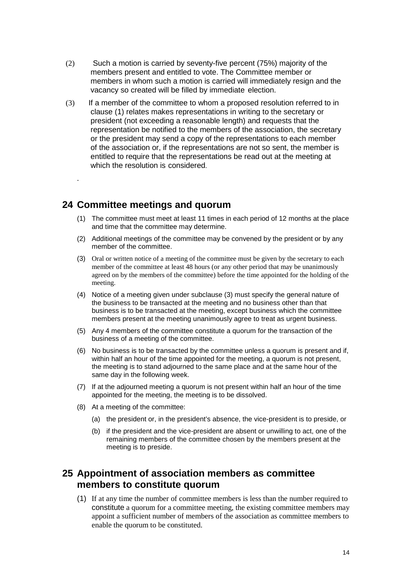- (2) Such a motion is carried by seventy-five percent (75%) majority of the members present and entitled to vote. The Committee member or members in whom such a motion is carried will immediately resign and the vacancy so created will be filled by immediate election.
- (3) If a member of the committee to whom a proposed resolution referred to in clause (1) relates makes representations in writing to the secretary or president (not exceeding a reasonable length) and requests that the representation be notified to the members of the association, the secretary or the president may send a copy of the representations to each member of the association or, if the representations are not so sent, the member is entitled to require that the representations be read out at the meeting at which the resolution is considered.

## <span id="page-13-0"></span>**24 Committee meetings and quorum**

.

- (1) The committee must meet at least 11 times in each period of 12 months at the place and time that the committee may determine.
- (2) Additional meetings of the committee may be convened by the president or by any member of the committee.
- (3) Oral or written notice of a meeting of the committee must be given by the secretary to each member of the committee at least 48 hours (or any other period that may be unanimously agreed on by the members of the committee) before the time appointed for the holding of the meeting.
- (4) Notice of a meeting given under subclause (3) must specify the general nature of the business to be transacted at the meeting and no business other than that business is to be transacted at the meeting, except business which the committee members present at the meeting unanimously agree to treat as urgent business.
- (5) Any 4 members of the committee constitute a quorum for the transaction of the business of a meeting of the committee.
- (6) No business is to be transacted by the committee unless a quorum is present and if, within half an hour of the time appointed for the meeting, a quorum is not present, the meeting is to stand adjourned to the same place and at the same hour of the same day in the following week.
- (7) If at the adjourned meeting a quorum is not present within half an hour of the time appointed for the meeting, the meeting is to be dissolved.
- (8) At a meeting of the committee:
	- (a) the president or, in the president's absence, the vice-president is to preside, or
	- (b) if the president and the vice-president are absent or unwilling to act, one of the remaining members of the committee chosen by the members present at the meeting is to preside.

## <span id="page-13-1"></span>**25 Appointment of association members as committee members to constitute quorum**

(1) If at any time the number of committee members is less than the number required to constitute a quorum for a committee meeting, the existing committee members may appoint a sufficient number of members of the association as committee members to enable the quorum to be constituted.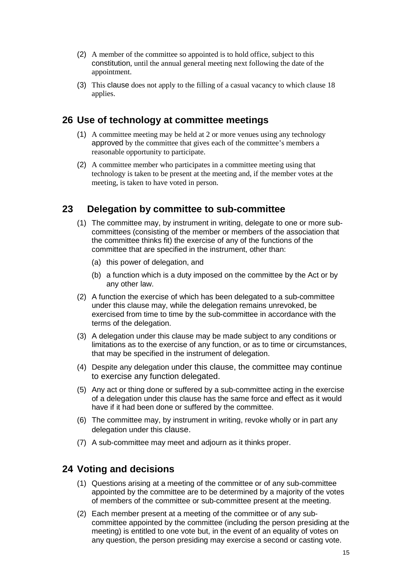- (2) A member of the committee so appointed is to hold office, subject to this constitution, until the annual general meeting next following the date of the appointment.
- (3) This clause does not apply to the filling of a casual vacancy to which clause 18 applies.

## <span id="page-14-0"></span>**26 Use of technology at committee meetings**

- (1) A committee meeting may be held at 2 or more venues using any technology approved by the committee that gives each of the committee's members a reasonable opportunity to participate.
- (2) A committee member who participates in a committee meeting using that technology is taken to be present at the meeting and, if the member votes at the meeting, is taken to have voted in person.

## <span id="page-14-1"></span>**23 Delegation by committee to sub-committee**

- (1) The committee may, by instrument in writing, delegate to one or more subcommittees (consisting of the member or members of the association that the committee thinks fit) the exercise of any of the functions of the committee that are specified in the instrument, other than:
	- (a) this power of delegation, and
	- (b) a function which is a duty imposed on the committee by the Act or by any other law.
- (2) A function the exercise of which has been delegated to a sub-committee under this clause may, while the delegation remains unrevoked, be exercised from time to time by the sub-committee in accordance with the terms of the delegation.
- (3) A delegation under this clause may be made subject to any conditions or limitations as to the exercise of any function, or as to time or circumstances, that may be specified in the instrument of delegation.
- (4) Despite any delegation under this clause, the committee may continue to exercise any function delegated.
- (5) Any act or thing done or suffered by a sub-committee acting in the exercise of a delegation under this clause has the same force and effect as it would have if it had been done or suffered by the committee.
- (6) The committee may, by instrument in writing, revoke wholly or in part any delegation under this clause.
- (7) A sub-committee may meet and adjourn as it thinks proper.

#### <span id="page-14-2"></span>**24 Voting and decisions**

- (1) Questions arising at a meeting of the committee or of any sub-committee appointed by the committee are to be determined by a majority of the votes of members of the committee or sub-committee present at the meeting.
- (2) Each member present at a meeting of the committee or of any subcommittee appointed by the committee (including the person presiding at the meeting) is entitled to one vote but, in the event of an equality of votes on any question, the person presiding may exercise a second or casting vote.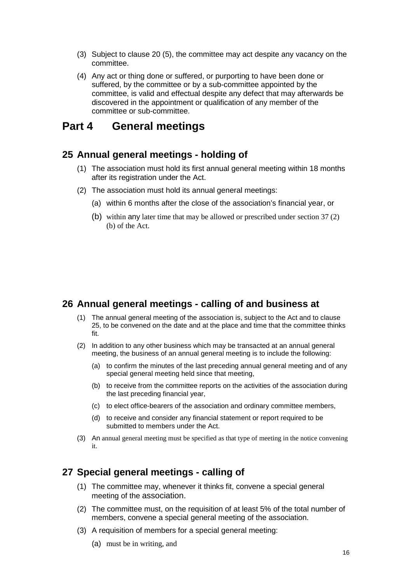- (3) Subject to clause 20 (5), the committee may act despite any vacancy on the committee.
- (4) Any act or thing done or suffered, or purporting to have been done or suffered, by the committee or by a sub-committee appointed by the committee, is valid and effectual despite any defect that may afterwards be discovered in the appointment or qualification of any member of the committee or sub-committee.

## <span id="page-15-0"></span>**Part 4 General meetings**

#### <span id="page-15-1"></span>**25 Annual general meetings - holding of**

- (1) The association must hold its first annual general meeting within 18 months after its registration under the Act.
- (2) The association must hold its annual general meetings:
	- (a) within 6 months after the close of the association's financial year, or
	- (b) within any later time that may be allowed or prescribed under section 37 (2) (b) of the Act.

#### <span id="page-15-2"></span>**26 Annual general meetings - calling of and business at**

- (1) The annual general meeting of the association is, subject to the Act and to clause 25, to be convened on the date and at the place and time that the committee thinks fit.
- (2) In addition to any other business which may be transacted at an annual general meeting, the business of an annual general meeting is to include the following:
	- (a) to confirm the minutes of the last preceding annual general meeting and of any special general meeting held since that meeting.
	- (b) to receive from the committee reports on the activities of the association during the last preceding financial year,
	- (c) to elect office-bearers of the association and ordinary committee members,
	- (d) to receive and consider any financial statement or report required to be submitted to members under the Act.
- (3) An annual general meeting must be specified as that type of meeting in the notice convening it.

#### <span id="page-15-3"></span>**27 Special general meetings - calling of**

- (1) The committee may, whenever it thinks fit, convene a special general meeting of the association.
- (2) The committee must, on the requisition of at least 5% of the total number of members, convene a special general meeting of the association.
- (3) A requisition of members for a special general meeting:
	- (a) must be in writing, and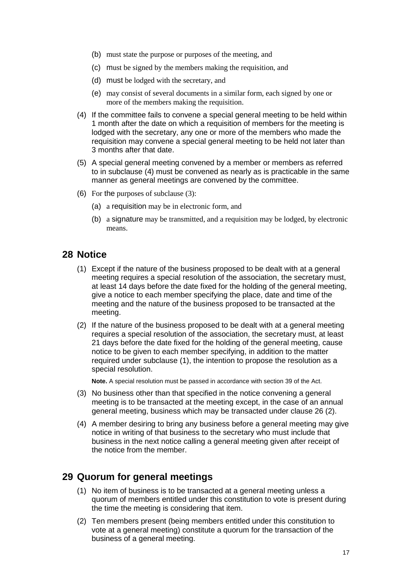- (b) must state the purpose or purposes of the meeting, and
- (c) must be signed by the members making the requisition, and
- (d) must be lodged with the secretary, and
- (e) may consist of several documents in a similar form, each signed by one or more of the members making the requisition.
- (4) If the committee fails to convene a special general meeting to be held within 1 month after the date on which a requisition of members for the meeting is lodged with the secretary, any one or more of the members who made the requisition may convene a special general meeting to be held not later than 3 months after that date.
- (5) A special general meeting convened by a member or members as referred to in subclause (4) must be convened as nearly as is practicable in the same manner as general meetings are convened by the committee.
- (6) For the purposes of subclause (3):
	- (a) a requisition may be in electronic form, and
	- (b) a signature may be transmitted, and a requisition may be lodged, by electronic means.

#### <span id="page-16-0"></span>**28 Notice**

- (1) Except if the nature of the business proposed to be dealt with at a general meeting requires a special resolution of the association, the secretary must, at least 14 days before the date fixed for the holding of the general meeting, give a notice to each member specifying the place, date and time of the meeting and the nature of the business proposed to be transacted at the meeting.
- (2) If the nature of the business proposed to be dealt with at a general meeting requires a special resolution of the association, the secretary must, at least 21 days before the date fixed for the holding of the general meeting, cause notice to be given to each member specifying, in addition to the matter required under subclause (1), the intention to propose the resolution as a special resolution.

**Note.** A special resolution must be passed in accordance with section 39 of the Act.

- (3) No business other than that specified in the notice convening a general meeting is to be transacted at the meeting except, in the case of an annual general meeting, business which may be transacted under clause 26 (2).
- (4) A member desiring to bring any business before a general meeting may give notice in writing of that business to the secretary who must include that business in the next notice calling a general meeting given after receipt of the notice from the member.

#### <span id="page-16-1"></span>**29 Quorum for general meetings**

- (1) No item of business is to be transacted at a general meeting unless a quorum of members entitled under this constitution to vote is present during the time the meeting is considering that item.
- (2) Ten members present (being members entitled under this constitution to vote at a general meeting) constitute a quorum for the transaction of the business of a general meeting.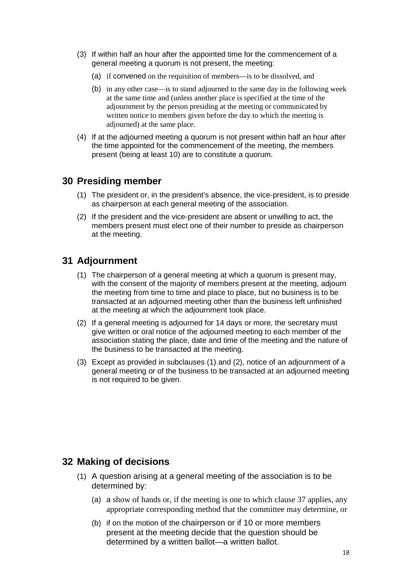- (3) If within half an hour after the appointed time for the commencement of a general meeting a quorum is not present, the meeting:
	- (a) if convened on the requisition of members—is to be dissolved, and
	- (b) in any other case—is to stand adjourned to the same day in the following week at the same time and (unless another place is specified at the time of the adjournment by the person presiding at the meeting or communicated by written notice to members given before the day to which the meeting is adjourned) at the same place.
- (4) If at the adjourned meeting a quorum is not present within half an hour after the time appointed for the commencement of the meeting, the members present (being at least 10) are to constitute a quorum.

## <span id="page-17-0"></span>**30 Presiding member**

- (1) The president or, in the president's absence, the vice-president, is to preside as chairperson at each general meeting of the association.
- (2) If the president and the vice-president are absent or unwilling to act, the members present must elect one of their number to preside as chairperson at the meeting.

## <span id="page-17-1"></span>**31 Adjournment**

- (1) The chairperson of a general meeting at which a quorum is present may, with the consent of the majority of members present at the meeting, adjourn the meeting from time to time and place to place, but no business is to be transacted at an adjourned meeting other than the business left unfinished at the meeting at which the adjournment took place.
- (2) If a general meeting is adjourned for 14 days or more, the secretary must give written or oral notice of the adjourned meeting to each member of the association stating the place, date and time of the meeting and the nature of the business to be transacted at the meeting.
- (3) Except as provided in subclauses (1) and (2), notice of an adjournment of a general meeting or of the business to be transacted at an adjourned meeting is not required to be given.

## <span id="page-17-2"></span>**32 Making of decisions**

- (1) A question arising at a general meeting of the association is to be determined by:
	- (a) a show of hands or, if the meeting is one to which clause 37 applies, any appropriate corresponding method that the committee may determine, or
	- (b) if on the motion of the chairperson or if 10 or more members present at the meeting decide that the question should be determined by a written ballot—a written ballot.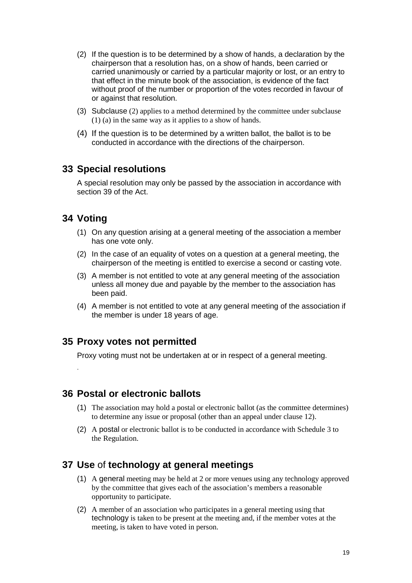- (2) If the question is to be determined by a show of hands, a declaration by the chairperson that a resolution has, on a show of hands, been carried or carried unanimously or carried by a particular majority or lost, or an entry to that effect in the minute book of the association, is evidence of the fact without proof of the number or proportion of the votes recorded in favour of or against that resolution.
- (3) Subclause (2) applies to a method determined by the committee under subclause (1) (a) in the same way as it applies to a show of hands.
- (4) If the question is to be determined by a written ballot, the ballot is to be conducted in accordance with the directions of the chairperson.

#### <span id="page-18-0"></span>**33 Special resolutions**

A special resolution may only be passed by the association in accordance with section 39 of the Act.

## <span id="page-18-1"></span>**34 Voting**

.

- (1) On any question arising at a general meeting of the association a member has one vote only.
- (2) In the case of an equality of votes on a question at a general meeting, the chairperson of the meeting is entitled to exercise a second or casting vote.
- (3) A member is not entitled to vote at any general meeting of the association unless all money due and payable by the member to the association has been paid.
- (4) A member is not entitled to vote at any general meeting of the association if the member is under 18 years of age.

#### <span id="page-18-2"></span>**35 Proxy votes not permitted**

Proxy voting must not be undertaken at or in respect of a general meeting.

#### <span id="page-18-3"></span>**36 Postal or electronic ballots**

- (1) The association may hold a postal or electronic ballot (as the committee determines) to determine any issue or proposal (other than an appeal under clause 12).
- (2) A postal or electronic ballot is to be conducted in accordance with Schedule 3 to the Regulation.

#### <span id="page-18-4"></span>**37 Use** of **technology at general meetings**

- (1) A general meeting may be held at 2 or more venues using any technology approved by the committee that gives each of the association's members a reasonable opportunity to participate.
- (2) A member of an association who participates in a general meeting using that technology is taken to be present at the meeting and, if the member votes at the meeting, is taken to have voted in person.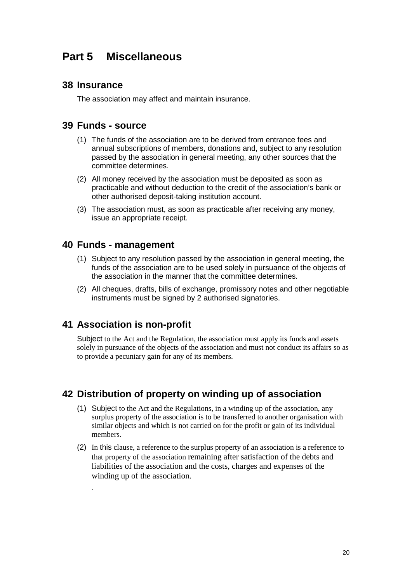## <span id="page-19-0"></span>**Part 5 Miscellaneous**

#### <span id="page-19-1"></span>**38 Insurance**

The association may affect and maintain insurance.

#### <span id="page-19-2"></span>**39 Funds - source**

- (1) The funds of the association are to be derived from entrance fees and annual subscriptions of members, donations and, subject to any resolution passed by the association in general meeting, any other sources that the committee determines.
- (2) All money received by the association must be deposited as soon as practicable and without deduction to the credit of the association's bank or other authorised deposit-taking institution account.
- (3) The association must, as soon as practicable after receiving any money, issue an appropriate receipt.

#### <span id="page-19-3"></span>**40 Funds - management**

- (1) Subject to any resolution passed by the association in general meeting, the funds of the association are to be used solely in pursuance of the objects of the association in the manner that the committee determines.
- (2) All cheques, drafts, bills of exchange, promissory notes and other negotiable instruments must be signed by 2 authorised signatories.

#### <span id="page-19-4"></span>**41 Association is non-profit**

.

Subject to the Act and the Regulation, the association must apply its funds and assets solely in pursuance of the objects of the association and must not conduct its affairs so as to provide a pecuniary gain for any of its members.

## <span id="page-19-5"></span>**42 Distribution of property on winding up of association**

- (1) Subject to the Act and the Regulations, in a winding up of the association, any surplus property of the association is to be transferred to another organisation with similar objects and which is not carried on for the profit or gain of its individual members.
- (2) In this clause, a reference to the surplus property of an association is a reference to that property of the association remaining after satisfaction of the debts and liabilities of the association and the costs, charges and expenses of the winding up of the association.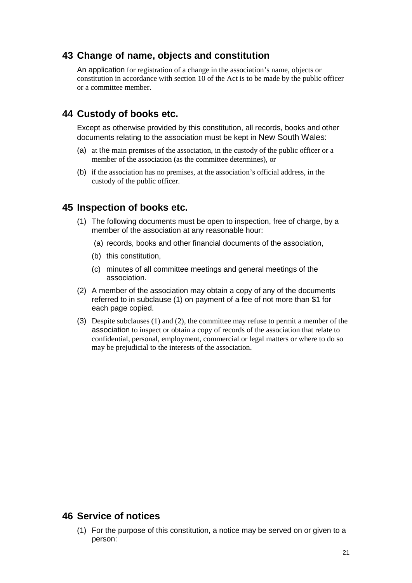#### <span id="page-20-0"></span>**43 Change of name, objects and constitution**

An application for registration of a change in the association's name, objects or constitution in accordance with section 10 of the Act is to be made by the public officer or a committee member.

#### <span id="page-20-1"></span>**44 Custody of books etc.**

Except as otherwise provided by this constitution, all records, books and other documents relating to the association must be kept in New South Wales:

- (a) at the main premises of the association, in the custody of the public officer or a member of the association (as the committee determines), or
- (b) if the association has no premises, at the association's official address, in the custody of the public officer.

#### <span id="page-20-2"></span>**45 Inspection of books etc.**

- (1) The following documents must be open to inspection, free of charge, by a member of the association at any reasonable hour:
	- (a) records, books and other financial documents of the association,
	- (b) this constitution,
	- (c) minutes of all committee meetings and general meetings of the association.
- (2) A member of the association may obtain a copy of any of the documents referred to in subclause (1) on payment of a fee of not more than \$1 for each page copied.
- (3) Despite subclauses (1) and (2), the committee may refuse to permit a member of the association to inspect or obtain a copy of records of the association that relate to confidential, personal, employment, commercial or legal matters or where to do so may be prejudicial to the interests of the association.

#### <span id="page-20-3"></span>**46 Service of notices**

(1) For the purpose of this constitution, a notice may be served on or given to a person: